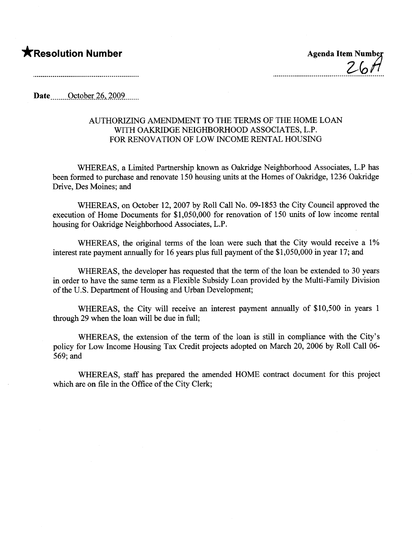## \*Resolution Number Agenda Item Number

Date  $\qquad$  October 26, 2009

## AUTHORIZING AMENDMENT TO THE TERMS OF THE HOME LOAN WITH OAKRDGE NEIGHBORHOOD ASSOCIATES, L.P. FOR RENOVATION OF LOW INCOME RENTAL HOUSING

WHEREAS, a Limited Partnership known as Oakridge Neighborhood Associates, L.P has been formed to purchase and renovate 150 housing units at the Homes of Oakridge, 1236 Oakridge Drive, Des Moines; and

WHEREAS, on October 12,2007 by Roll Call No. 09-1853 the City Council approved the execution of Home Documents for \$1,050,000 for renovation of 150 units of low income rental housing for Oakridge Neighborhood Associates, L.P.

WHEREAS, the original terms of the loan were such that the City would receive a 1% interest rate payment anually for 16 years plus full payment of the \$1,050,000 in year 17; and

WHEREAS, the developer has requested that the term of the loan be extended to 30 years in order to have the same term as a Flexible Subsidy Loan provided by the Multi-Family Division of the U.S. Deparment of Housing and Urban Development;

WHEREAS, the City will receive an interest payment annually of \$10,500 in years 1 through 29 when the loan will be due in full;

WHEREAS, the extension of the term of the loan is stil in compliance with the City's policy for Low Income Housing Tax Credit projects adopted on March 20,2006 by Roll Call 06- 569; and

WHEREAS, staff has prepared the amended HOME contract document for this project which are on file in the Office of the City Clerk;